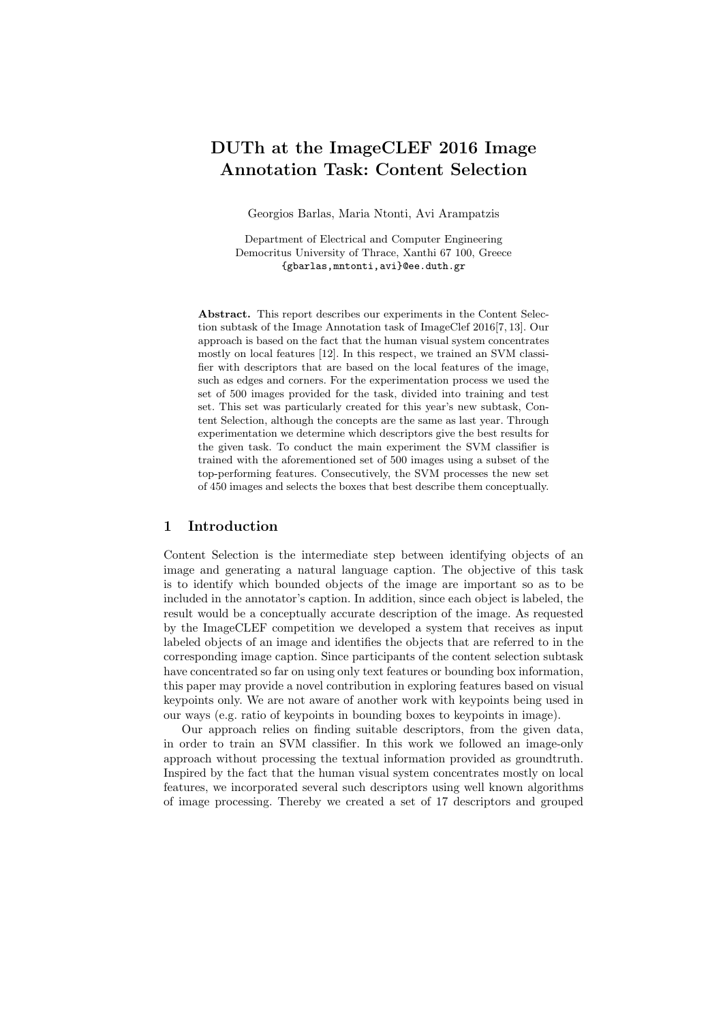# DUTh at the ImageCLEF 2016 Image Annotation Task: Content Selection

Georgios Barlas, Maria Ntonti, Avi Arampatzis

Department of Electrical and Computer Engineering Democritus University of Thrace, Xanthi 67 100, Greece {gbarlas,mntonti,avi}@ee.duth.gr

Abstract. This report describes our experiments in the Content Selection subtask of the Image Annotation task of ImageClef 2016[7, 13]. Our approach is based on the fact that the human visual system concentrates mostly on local features [12]. In this respect, we trained an SVM classifier with descriptors that are based on the local features of the image, such as edges and corners. For the experimentation process we used the set of 500 images provided for the task, divided into training and test set. This set was particularly created for this year's new subtask, Content Selection, although the concepts are the same as last year. Through experimentation we determine which descriptors give the best results for the given task. To conduct the main experiment the SVM classifier is trained with the aforementioned set of 500 images using a subset of the top-performing features. Consecutively, the SVM processes the new set of 450 images and selects the boxes that best describe them conceptually.

# 1 Introduction

Content Selection is the intermediate step between identifying objects of an image and generating a natural language caption. The objective of this task is to identify which bounded objects of the image are important so as to be included in the annotator's caption. In addition, since each object is labeled, the result would be a conceptually accurate description of the image. As requested by the ImageCLEF competition we developed a system that receives as input labeled objects of an image and identifies the objects that are referred to in the corresponding image caption. Since participants of the content selection subtask have concentrated so far on using only text features or bounding box information, this paper may provide a novel contribution in exploring features based on visual keypoints only. We are not aware of another work with keypoints being used in our ways (e.g. ratio of keypoints in bounding boxes to keypoints in image).

Our approach relies on finding suitable descriptors, from the given data, in order to train an SVM classifier. In this work we followed an image-only approach without processing the textual information provided as groundtruth. Inspired by the fact that the human visual system concentrates mostly on local features, we incorporated several such descriptors using well known algorithms of image processing. Thereby we created a set of 17 descriptors and grouped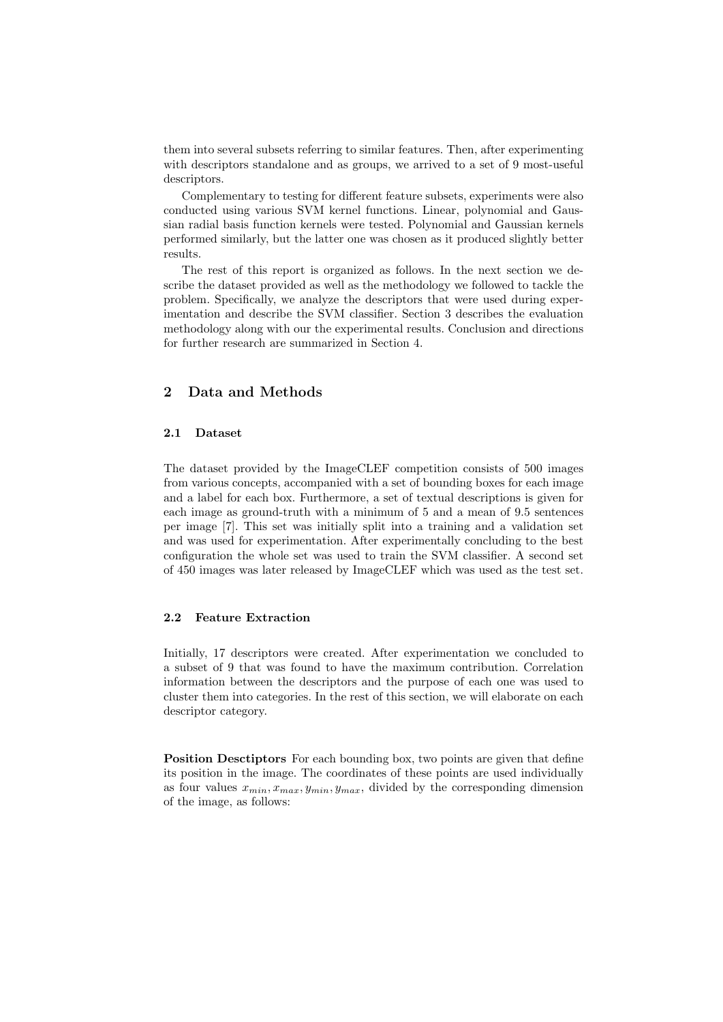them into several subsets referring to similar features. Then, after experimenting with descriptors standalone and as groups, we arrived to a set of 9 most-useful descriptors.

Complementary to testing for different feature subsets, experiments were also conducted using various SVM kernel functions. Linear, polynomial and Gaussian radial basis function kernels were tested. Polynomial and Gaussian kernels performed similarly, but the latter one was chosen as it produced slightly better results.

The rest of this report is organized as follows. In the next section we describe the dataset provided as well as the methodology we followed to tackle the problem. Specifically, we analyze the descriptors that were used during experimentation and describe the SVM classifier. Section 3 describes the evaluation methodology along with our the experimental results. Conclusion and directions for further research are summarized in Section 4.

# 2 Data and Methods

### 2.1 Dataset

The dataset provided by the ImageCLEF competition consists of 500 images from various concepts, accompanied with a set of bounding boxes for each image and a label for each box. Furthermore, a set of textual descriptions is given for each image as ground-truth with a minimum of 5 and a mean of 9.5 sentences per image [7]. This set was initially split into a training and a validation set and was used for experimentation. After experimentally concluding to the best configuration the whole set was used to train the SVM classifier. A second set of 450 images was later released by ImageCLEF which was used as the test set.

## 2.2 Feature Extraction

Initially, 17 descriptors were created. After experimentation we concluded to a subset of 9 that was found to have the maximum contribution. Correlation information between the descriptors and the purpose of each one was used to cluster them into categories. In the rest of this section, we will elaborate on each descriptor category.

Position Desctiptors For each bounding box, two points are given that define its position in the image. The coordinates of these points are used individually as four values  $x_{min}, x_{max}, y_{min}, y_{max}$ , divided by the corresponding dimension of the image, as follows: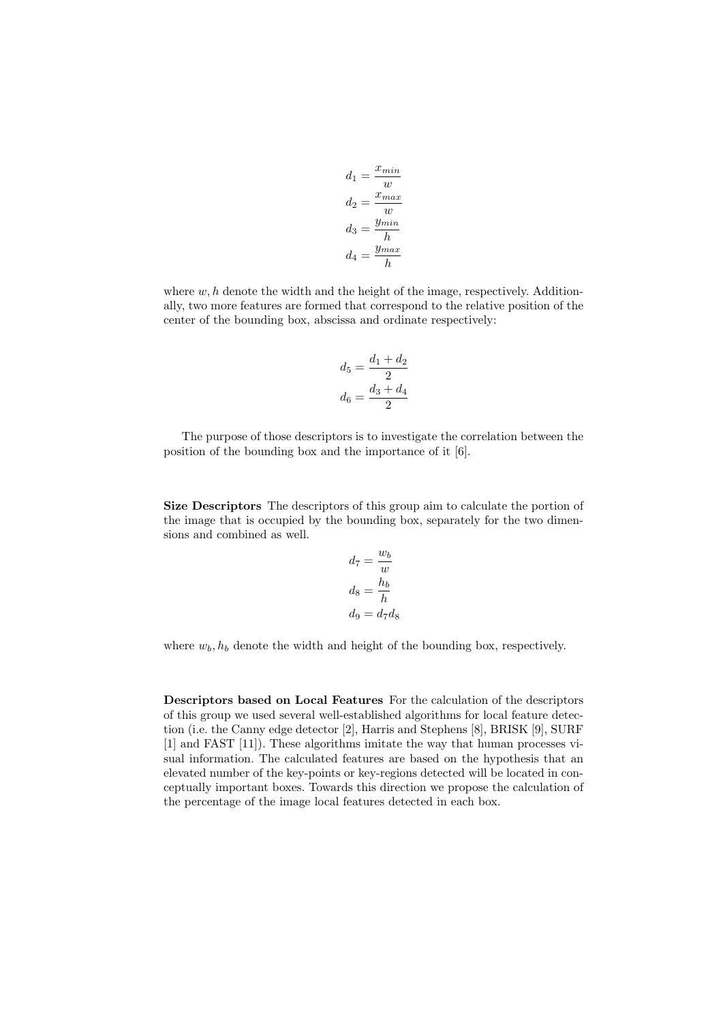$$
d_1 = \frac{x_{min}}{w}
$$

$$
d_2 = \frac{x_{max}}{w}
$$

$$
d_3 = \frac{y_{min}}{h}
$$

$$
d_4 = \frac{y_{max}}{h}
$$

where  $w, h$  denote the width and the height of the image, respectively. Additionally, two more features are formed that correspond to the relative position of the center of the bounding box, abscissa and ordinate respectively:

$$
d_5 = \frac{d_1 + d_2}{2}
$$

$$
d_6 = \frac{d_3 + d_4}{2}
$$

The purpose of those descriptors is to investigate the correlation between the position of the bounding box and the importance of it [6].

Size Descriptors The descriptors of this group aim to calculate the portion of the image that is occupied by the bounding box, separately for the two dimensions and combined as well.

$$
d_7 = \frac{w_b}{w}
$$

$$
d_8 = \frac{h_b}{h}
$$

$$
d_9 = d_7 d_8
$$

where  $w_b$ ,  $h_b$  denote the width and height of the bounding box, respectively.

Descriptors based on Local Features For the calculation of the descriptors of this group we used several well-established algorithms for local feature detection (i.e. the Canny edge detector [2], Harris and Stephens [8], BRISK [9], SURF [1] and FAST [11]). These algorithms imitate the way that human processes visual information. The calculated features are based on the hypothesis that an elevated number of the key-points or key-regions detected will be located in conceptually important boxes. Towards this direction we propose the calculation of the percentage of the image local features detected in each box.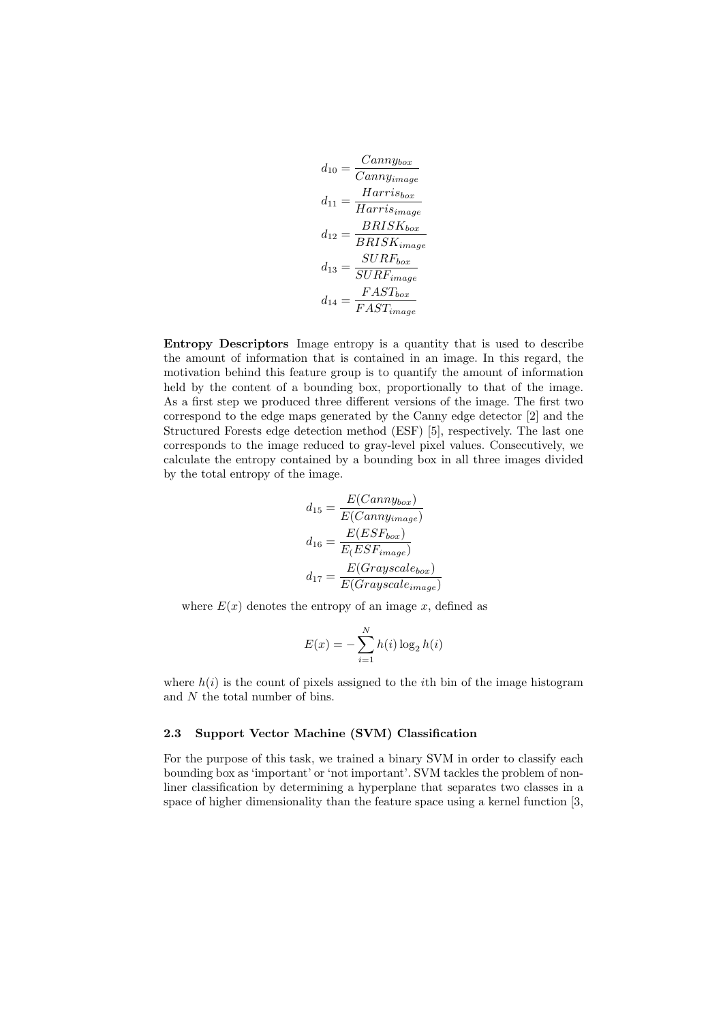$$
d_{10} = \frac{Canny_{box}}{Canny_{image}}
$$
\n
$$
d_{11} = \frac{Harris_{box}}{Harris_{image}}
$$
\n
$$
d_{12} = \frac{BRISK_{box}}{BRISK_{image}}
$$
\n
$$
d_{13} = \frac{SURF_{box}}{SURF_{image}}
$$
\n
$$
d_{14} = \frac{FAST_{box}}{FAST_{image}}
$$

Entropy Descriptors Image entropy is a quantity that is used to describe the amount of information that is contained in an image. In this regard, the motivation behind this feature group is to quantify the amount of information held by the content of a bounding box, proportionally to that of the image. As a first step we produced three different versions of the image. The first two correspond to the edge maps generated by the Canny edge detector [2] and the Structured Forests edge detection method (ESF) [5], respectively. The last one corresponds to the image reduced to gray-level pixel values. Consecutively, we calculate the entropy contained by a bounding box in all three images divided by the total entropy of the image.

$$
d_{15} = \frac{E(Canny_{box})}{E(Canny_{image})}
$$

$$
d_{16} = \frac{E(ESF_{box})}{E(ESF_{image})}
$$

$$
d_{17} = \frac{E(Grayscale_{box})}{E(Grayscale_{image})}
$$

where  $E(x)$  denotes the entropy of an image x, defined as

$$
E(x) = -\sum_{i=1}^{N} h(i) \log_2 h(i)
$$

where  $h(i)$  is the count of pixels assigned to the *i*th bin of the image histogram and  $N$  the total number of bins.

#### 2.3 Support Vector Machine (SVM) Classification

For the purpose of this task, we trained a binary SVM in order to classify each bounding box as 'important' or 'not important'. SVM tackles the problem of nonliner classification by determining a hyperplane that separates two classes in a space of higher dimensionality than the feature space using a kernel function [3,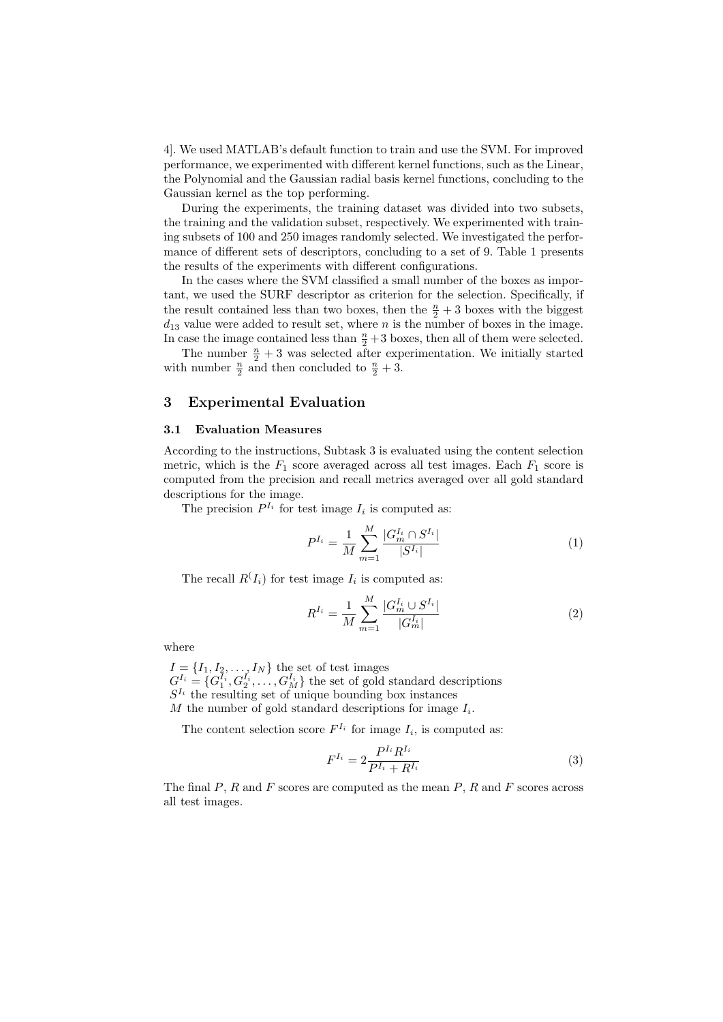4]. We used MATLAB's default function to train and use the SVM. For improved performance, we experimented with different kernel functions, such as the Linear, the Polynomial and the Gaussian radial basis kernel functions, concluding to the Gaussian kernel as the top performing.

During the experiments, the training dataset was divided into two subsets, the training and the validation subset, respectively. We experimented with training subsets of 100 and 250 images randomly selected. We investigated the performance of different sets of descriptors, concluding to a set of 9. Table 1 presents the results of the experiments with different configurations.

In the cases where the SVM classified a small number of the boxes as important, we used the SURF descriptor as criterion for the selection. Specifically, if the result contained less than two boxes, then the  $\frac{n}{2} + 3$  boxes with the biggest  $d_{13}$  value were added to result set, where n is the number of boxes in the image. In case the image contained less than  $\frac{n}{2}+3$  boxes, then all of them were selected.

The number  $\frac{n}{2} + 3$  was selected after experimentation. We initially started with number  $\frac{n}{2}$  and then concluded to  $\frac{n}{2} + 3$ .

### 3 Experimental Evaluation

#### 3.1 Evaluation Measures

According to the instructions, Subtask 3 is evaluated using the content selection metric, which is the  $F_1$  score averaged across all test images. Each  $F_1$  score is computed from the precision and recall metrics averaged over all gold standard descriptions for the image.

The precision  $P^{I_i}$  for test image  $I_i$  is computed as:

$$
P^{I_i} = \frac{1}{M} \sum_{m=1}^{M} \frac{|G_m^{I_i} \cap S^{I_i}|}{|S^{I_i}|} \tag{1}
$$

The recall  $R(I_i)$  for test image  $I_i$  is computed as:

$$
R^{I_i} = \frac{1}{M} \sum_{m=1}^{M} \frac{|G_m^{I_i} \cup S^{I_i}|}{|G_m^{I_i}|} \tag{2}
$$

where

 $I = \{I_1, I_2, \ldots, I_N\}$  the set of test images  $G_{\mathbf{r}}^{I_i} = \{G_1^{I_i}, G_2^{I_i}, \ldots, G_M^{I_i}\}\$  the set of gold standard descriptions  $S^{I_i}$  the resulting set of unique bounding box instances  $M$  the number of gold standard descriptions for image  $I_i$ .

The content selection score  $F^{I_i}$  for image  $I_i$ , is computed as:

$$
F^{I_i} = 2 \frac{P^{I_i} R^{I_i}}{P^{I_i} + R^{I_i}}
$$
\n(3)

The final  $P$ ,  $R$  and  $F$  scores are computed as the mean  $P$ ,  $R$  and  $F$  scores across all test images.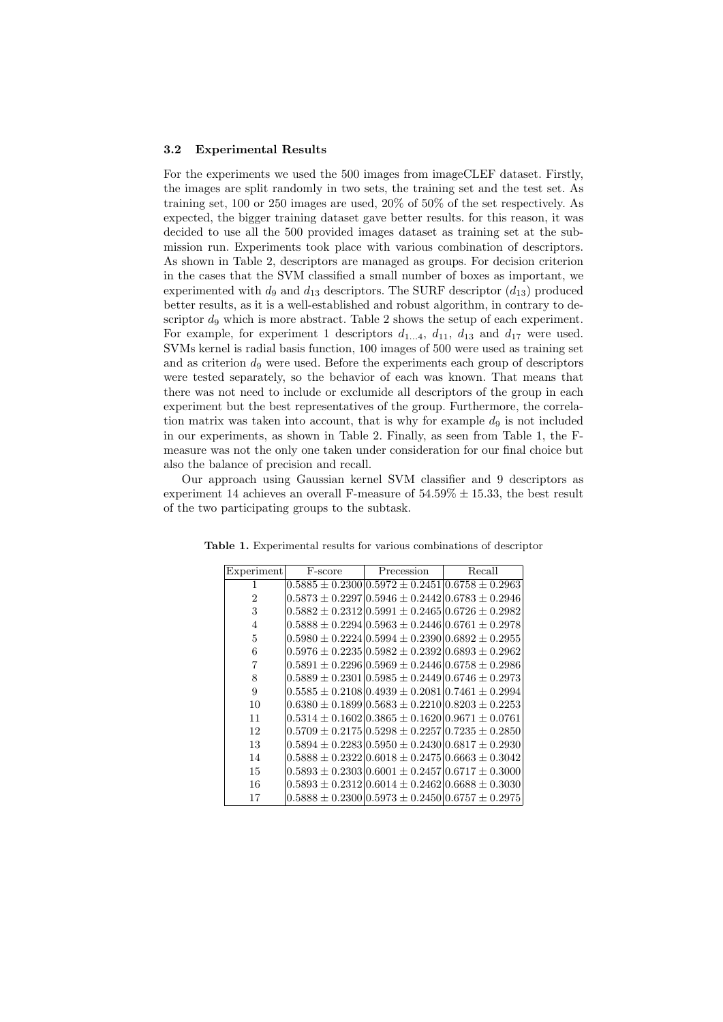#### 3.2 Experimental Results

For the experiments we used the 500 images from imageCLEF dataset. Firstly, the images are split randomly in two sets, the training set and the test set. As training set, 100 or 250 images are used, 20% of 50% of the set respectively. As expected, the bigger training dataset gave better results. for this reason, it was decided to use all the 500 provided images dataset as training set at the submission run. Experiments took place with various combination of descriptors. As shown in Table 2, descriptors are managed as groups. For decision criterion in the cases that the SVM classified a small number of boxes as important, we experimented with  $d_9$  and  $d_{13}$  descriptors. The SURF descriptor  $(d_{13})$  produced better results, as it is a well-established and robust algorithm, in contrary to descriptor  $d_9$  which is more abstract. Table 2 shows the setup of each experiment. For example, for experiment 1 descriptors  $d_{1...4}$ ,  $d_{11}$ ,  $d_{13}$  and  $d_{17}$  were used. SVMs kernel is radial basis function, 100 images of 500 were used as training set and as criterion  $d<sub>9</sub>$  were used. Before the experiments each group of descriptors were tested separately, so the behavior of each was known. That means that there was not need to include or exclumide all descriptors of the group in each experiment but the best representatives of the group. Furthermore, the correlation matrix was taken into account, that is why for example  $d_9$  is not included in our experiments, as shown in Table 2. Finally, as seen from Table 1, the Fmeasure was not the only one taken under consideration for our final choice but also the balance of precision and recall.

Our approach using Gaussian kernel SVM classifier and 9 descriptors as experiment 14 achieves an overall F-measure of  $54.59\% \pm 15.33$ , the best result of the two participating groups to the subtask.

| Experiment     | F-score | Precession                                                            | Recall |
|----------------|---------|-----------------------------------------------------------------------|--------|
| 1              |         | $0.5885 \pm 0.230010.5972 \pm 0.245110.6758 \pm 0.2963$               |        |
| $\overline{2}$ |         | $0.5873 \pm 0.229710.5946 \pm 0.244210.6783 \pm 0.2946$               |        |
| 3              |         | $0.5882 \pm 0.2312 \times 0.5991 \pm 0.2465 \times 0.6726 \pm 0.2982$ |        |
| $\overline{4}$ |         | $0.5888 \pm 0.2294$ $ 0.5963 \pm 0.2446$ $ 0.6761 \pm 0.2978$         |        |
| 5              |         | $0.5980 \pm 0.2224 \times 0.5994 \pm 0.2390 \times 0.6892 \pm 0.2955$ |        |
| 6              |         | $0.5976 \pm 0.223510.5982 \pm 0.239210.6893 \pm 0.2962$               |        |
| 7              |         | $0.5891 \pm 0.229610.5969 \pm 0.244610.6758 \pm 0.2986$               |        |
| 8              |         | $0.5889 \pm 0.2301 \times 0.5985 \pm 0.2449 \times 0.6746 \pm 0.2973$ |        |
| 9              |         | $0.5585 \pm 0.2108 \times 0.4939 \pm 0.2081 \times 0.7461 \pm 0.2994$ |        |
| 10             |         | $0.6380 \pm 0.1899 \cup 0.5683 \pm 0.2210 \cup 0.8203 \pm 0.2253$     |        |
| 11             |         | $0.5314 \pm 0.1602 \times 0.3865 \pm 0.1620 \times 0.9671 \pm 0.0761$ |        |
| 12             |         | $0.5709 \pm 0.217510.5298 \pm 0.225710.7235 \pm 0.2850$               |        |
| 13             |         | $0.5894 \pm 0.2283 \times 0.5950 \pm 0.2430 \times 0.6817 \pm 0.2930$ |        |
| 14             |         | $0.5888 \pm 0.2322   0.6018 \pm 0.2475   0.6663 \pm 0.3042$           |        |
| 15             |         | $0.5893 \pm 0.2303 \times 0.6001 \pm 0.2457 \times 0.6717 \pm 0.3000$ |        |
| 16             |         | $0.5893 \pm 0.2312$ $ 0.6014 \pm 0.2462$ $ 0.6688 \pm 0.3030$         |        |
| 17             |         | $0.5888 \pm 0.2300   0.5973 \pm 0.2450   0.6757 \pm 0.2975$           |        |

Table 1. Experimental results for various combinations of descriptor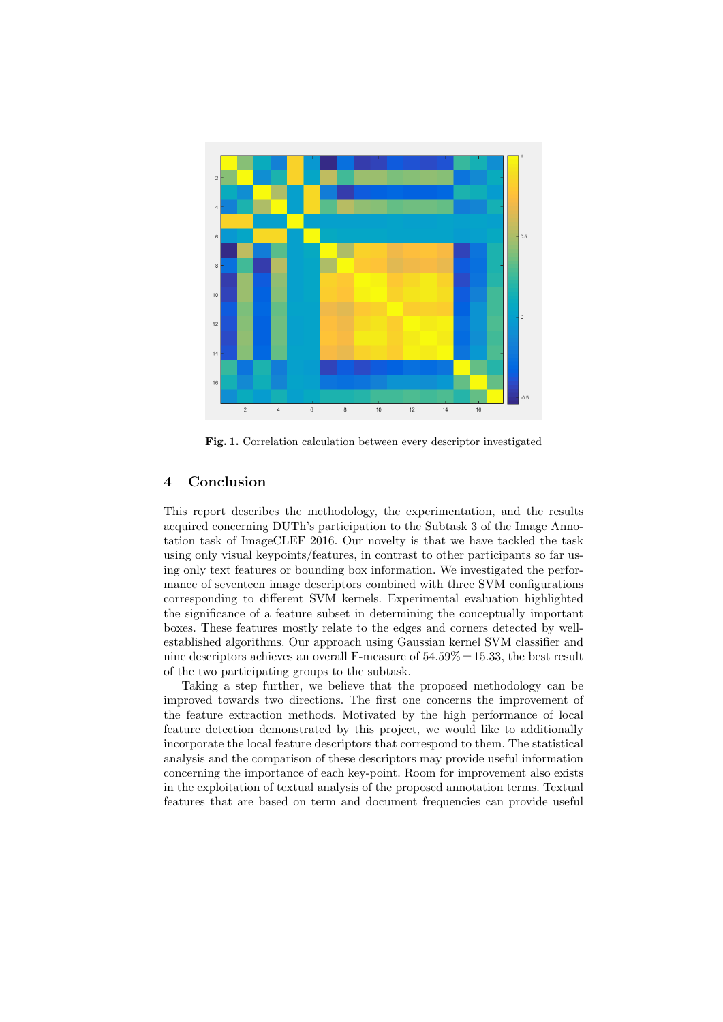

Fig. 1. Correlation calculation between every descriptor investigated

## 4 Conclusion

This report describes the methodology, the experimentation, and the results acquired concerning DUTh's participation to the Subtask 3 of the Image Annotation task of ImageCLEF 2016. Our novelty is that we have tackled the task using only visual keypoints/features, in contrast to other participants so far using only text features or bounding box information. We investigated the performance of seventeen image descriptors combined with three SVM configurations corresponding to different SVM kernels. Experimental evaluation highlighted the significance of a feature subset in determining the conceptually important boxes. These features mostly relate to the edges and corners detected by wellestablished algorithms. Our approach using Gaussian kernel SVM classifier and nine descriptors achieves an overall F-measure of  $54.59\% \pm 15.33$ , the best result of the two participating groups to the subtask.

Taking a step further, we believe that the proposed methodology can be improved towards two directions. The first one concerns the improvement of the feature extraction methods. Motivated by the high performance of local feature detection demonstrated by this project, we would like to additionally incorporate the local feature descriptors that correspond to them. The statistical analysis and the comparison of these descriptors may provide useful information concerning the importance of each key-point. Room for improvement also exists in the exploitation of textual analysis of the proposed annotation terms. Textual features that are based on term and document frequencies can provide useful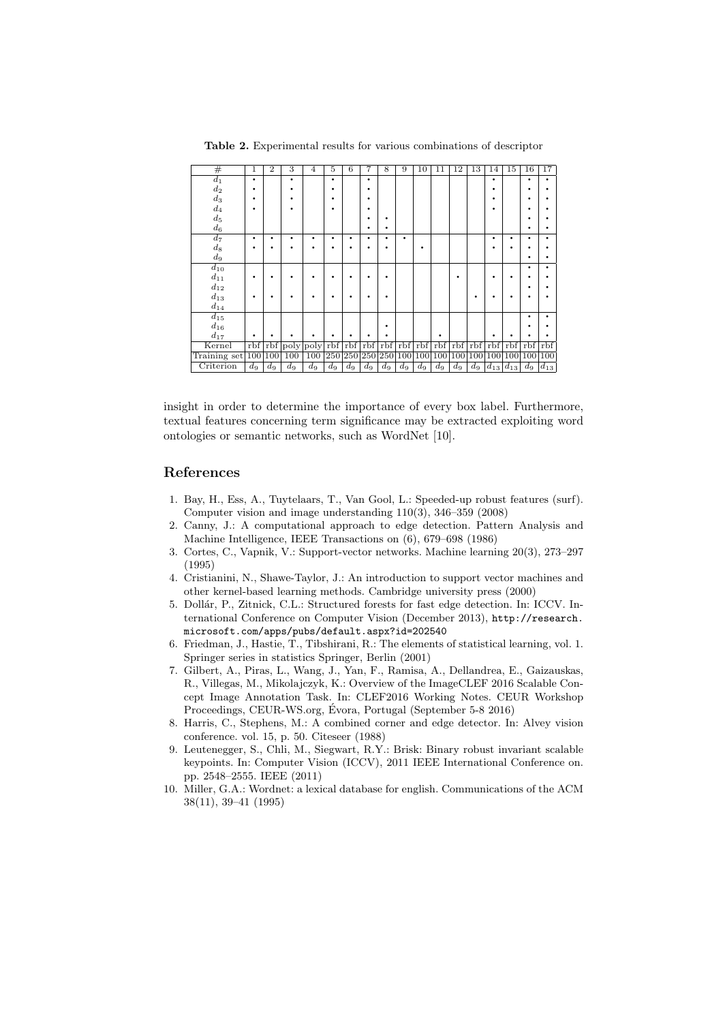# 1 2 3 4 5 6 7 8 9 10 11 12 13 14 15 16 17 <sup>d</sup><sup>1</sup> · · · · · · · <sup>d</sup><sup>2</sup> · · · · · · ·  $\begin{array}{c} \mathbf{d}_2 \ \mathbf{d}_3 \ \mathbf{d}_3 \end{array}$   $\begin{array}{c} \begin{array}{c} \mathbf{i} \end{array} & \begin{array}{c} \mathbf{i} \end{array} & \begin{array}{c} \mathbf{i} \end{array} & \begin{array}{c} \mathbf{i} \end{array} & \begin{array}{c} \mathbf{i} \end{array} & \begin{array}{c} \mathbf{i} \end{array} & \begin{array}{c} \mathbf{i} \end{array} & \begin{array}{c} \mathbf{i} \end{array} & \begin{array}{c} \mathbf{i} \end{array} & \begin{array}{c} \mathbf{i} \$  $\begin{array}{c} \begin{array}{c} a_3 \ d_4 \end{array} & | \begin{array}{c} \bullet \\ \bullet \end{array} \mid \begin{array}{c} \bullet \\ \bullet \end{array} \mid \begin{array}{c} \bullet \\ \bullet \end{array} \mid \begin{array}{c} \bullet \\ \bullet \end{array} \mid \begin{array}{c} \bullet \\ \bullet \end{array} \mid \begin{array}{c} \bullet \\ \bullet \end{array} \mid \begin{array}{c} \bullet \\ \bullet \end{array} \mid \begin{array}{c} \bullet \\ \bullet \end{array} \mid \begin{array}{c} \bullet \\ \bullet \end{array} \mid \begin{array}{c} \bullet \\ \bullet \end{array} \mid \begin$ <sup>d</sup><sup>5</sup> · · · · <sup>d</sup><sup>6</sup> · · · · <sup>d</sup><sup>7</sup> · · · · · · · · · · · · · <sup>d</sup><sup>8</sup> · · · · · · · · · · · · · <sup>d</sup><sup>9</sup> · ·  $\frac{dy}{d_10}$   $\cdots$   $\cdots$   $\cdots$ <sup>d</sup><sup>11</sup> · · · · · · · · · · · · · <sup>d</sup><sup>12</sup> · · <sup>d</sup><sup>13</sup> · · · · · · · · · · · · ·  $rac{d_{14}}{d_{15}}$  $\frac{d_{14}}{d_{15}}$  .  $\cdot \cdot \cdot$ <sup>d</sup><sup>16</sup> · · · <sup>d</sup><sup>17</sup> · · · · · · · · · · · · · Kernel rbf rbf poly poly rbf rbf rbf rbf rbf rbf rbf rbf rbf rbf rbf rbf rbf  $\overline{\text{Training set}} |100|100|100|100$   $\overline{|100|}$   $\overline{|250|}250|250|100|100|100|100|100|100|100|100$ Criterion d<sup>9</sup> d<sup>9</sup> d<sup>9</sup> d<sup>9</sup> d<sup>9</sup> d<sup>9</sup> d<sup>9</sup> d<sup>9</sup> d<sup>9</sup> d<sup>9</sup> d<sup>9</sup> d<sup>9</sup> d<sup>9</sup> d<sup>13</sup> d<sup>13</sup> d<sup>9</sup> d<sup>13</sup>

Table 2. Experimental results for various combinations of descriptor

insight in order to determine the importance of every box label. Furthermore, textual features concerning term significance may be extracted exploiting word ontologies or semantic networks, such as WordNet [10].

#### References

- 1. Bay, H., Ess, A., Tuytelaars, T., Van Gool, L.: Speeded-up robust features (surf). Computer vision and image understanding 110(3), 346–359 (2008)
- 2. Canny, J.: A computational approach to edge detection. Pattern Analysis and Machine Intelligence, IEEE Transactions on (6), 679–698 (1986)
- 3. Cortes, C., Vapnik, V.: Support-vector networks. Machine learning 20(3), 273–297 (1995)
- 4. Cristianini, N., Shawe-Taylor, J.: An introduction to support vector machines and other kernel-based learning methods. Cambridge university press (2000)
- 5. Dollár, P., Zitnick, C.L.: Structured forests for fast edge detection. In: ICCV. International Conference on Computer Vision (December 2013), http://research. microsoft.com/apps/pubs/default.aspx?id=202540
- 6. Friedman, J., Hastie, T., Tibshirani, R.: The elements of statistical learning, vol. 1. Springer series in statistics Springer, Berlin (2001)
- 7. Gilbert, A., Piras, L., Wang, J., Yan, F., Ramisa, A., Dellandrea, E., Gaizauskas, R., Villegas, M., Mikolajczyk, K.: Overview of the ImageCLEF 2016 Scalable Concept Image Annotation Task. In: CLEF2016 Working Notes. CEUR Workshop Proceedings, CEUR-WS.org, Evora, Portugal (September 5-8 2016) ´
- 8. Harris, C., Stephens, M.: A combined corner and edge detector. In: Alvey vision conference. vol. 15, p. 50. Citeseer (1988)
- 9. Leutenegger, S., Chli, M., Siegwart, R.Y.: Brisk: Binary robust invariant scalable keypoints. In: Computer Vision (ICCV), 2011 IEEE International Conference on. pp. 2548–2555. IEEE (2011)
- 10. Miller, G.A.: Wordnet: a lexical database for english. Communications of the ACM 38(11), 39–41 (1995)